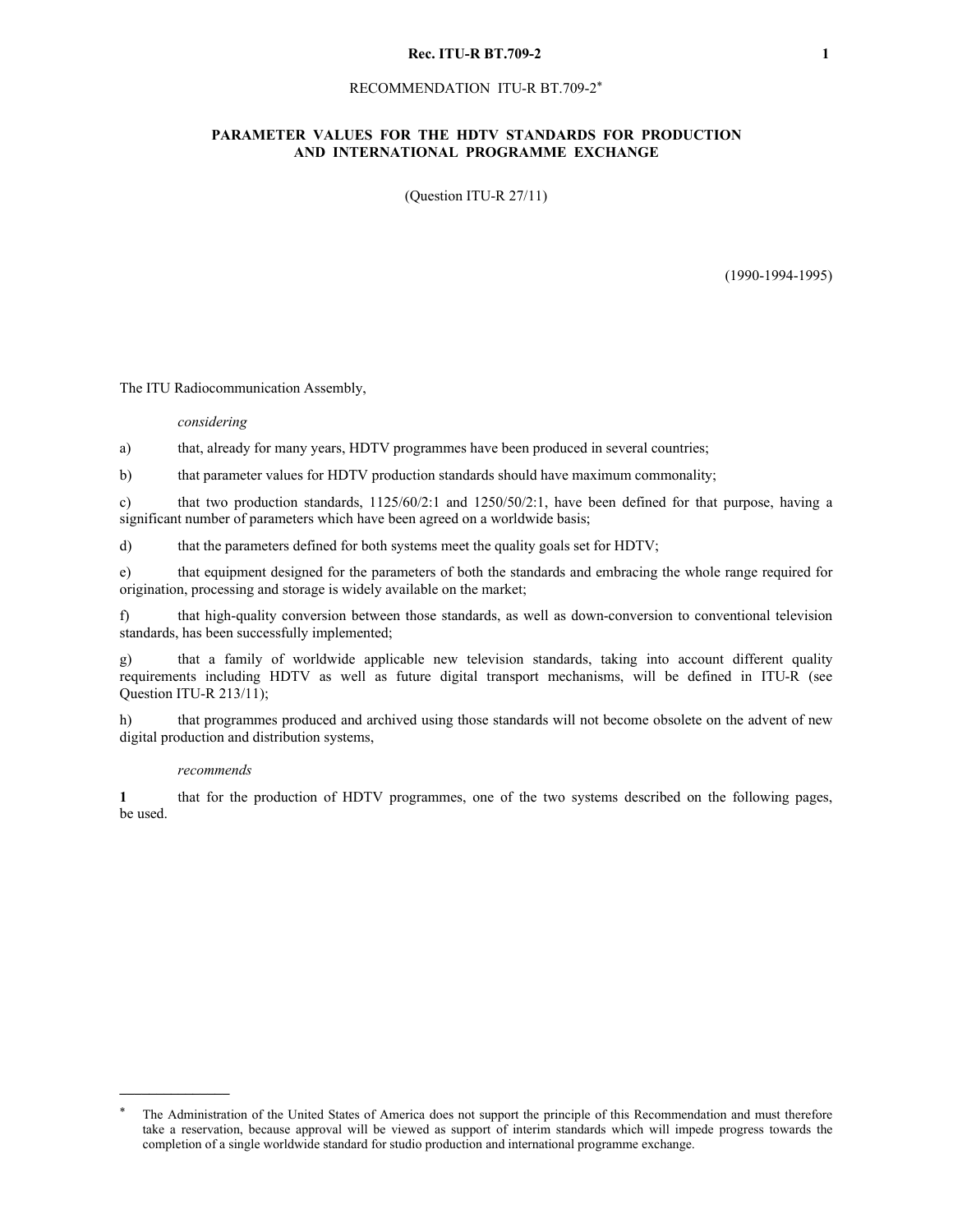#### **Rec. ITU-R BT.709-2 1**

### RECOMMENDATION ITU-R BT.709-2\*

### **PARAMETER VALUES FOR THE HDTV STANDARDS FOR PRODUCTION AND INTERNATIONAL PROGRAMME EXCHANGE**

(Question ITU-R 27/11)

(1990-1994-1995)

The ITU Radiocommunication Assembly,

#### *considering*

a) that, already for many years, HDTV programmes have been produced in several countries;

b) that parameter values for HDTV production standards should have maximum commonality;

c) that two production standards, 1125/60/2:1 and 1250/50/2:1, have been defined for that purpose, having a significant number of parameters which have been agreed on a worldwide basis;

d) that the parameters defined for both systems meet the quality goals set for HDTV;

e) that equipment designed for the parameters of both the standards and embracing the whole range required for origination, processing and storage is widely available on the market;

f) that high-quality conversion between those standards, as well as down-conversion to conventional television standards, has been successfully implemented;

g) that a family of worldwide applicable new television standards, taking into account different quality requirements including HDTV as well as future digital transport mechanisms, will be defined in ITU-R (see Question ITU-R 213/11);

h) that programmes produced and archived using those standards will not become obsolete on the advent of new digital production and distribution systems,

#### *recommends*

**1** that for the production of HDTV programmes, one of the two systems described on the following pages, be used.

The Administration of the United States of America does not support the principle of this Recommendation and must therefore take a reservation, because approval will be viewed as support of interim standards which will impede progress towards the completion of a single worldwide standard for studio production and international programme exchange.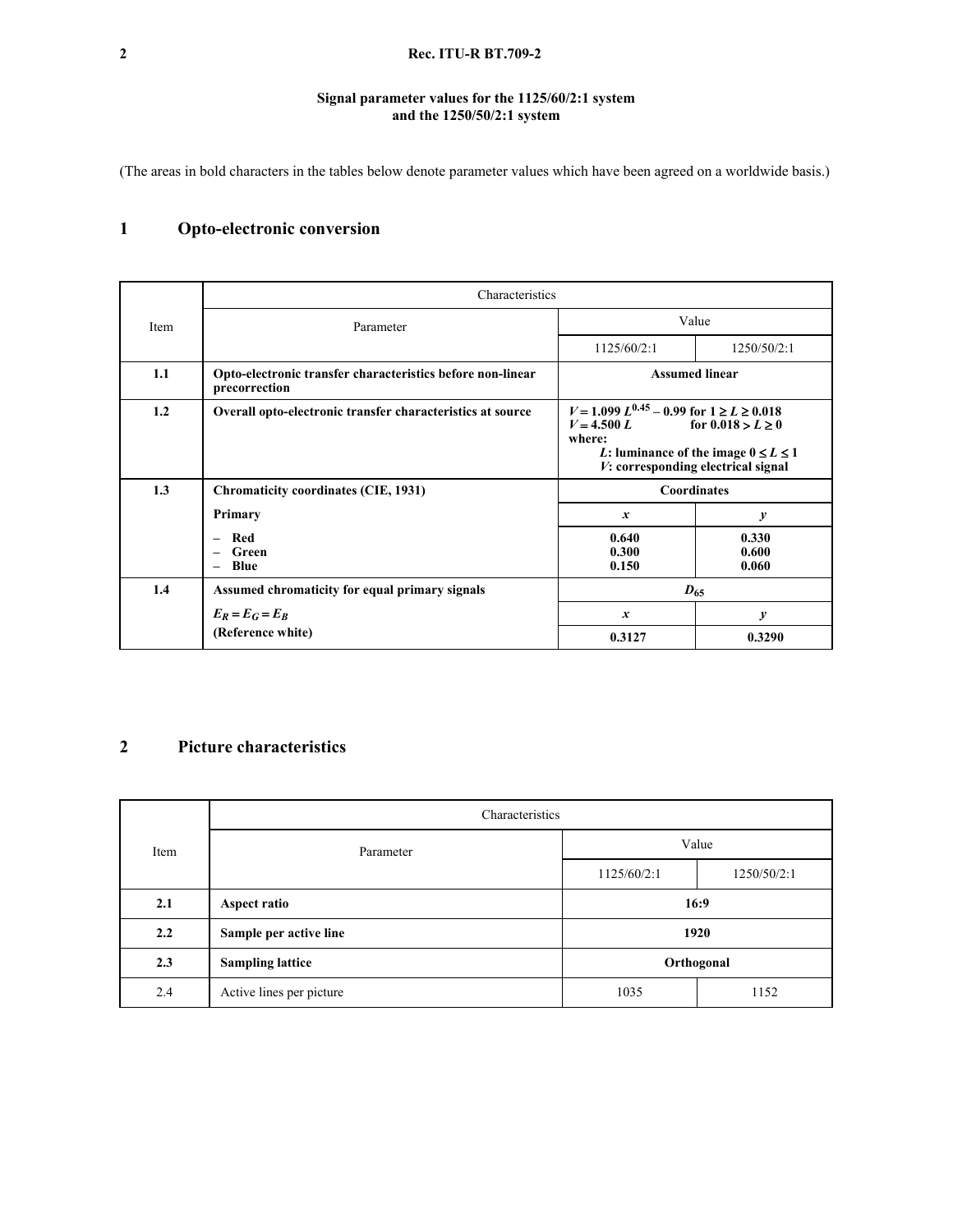## **Signal parameter values for the 1125/60/2:1 system and the 1250/50/2:1 system**

(The areas in bold characters in the tables below denote parameter values which have been agreed on a worldwide basis.)

# **1 Opto-electronic conversion**

|      | Characteristics                                                             |                                                                                                                                                                                            |                         |  |
|------|-----------------------------------------------------------------------------|--------------------------------------------------------------------------------------------------------------------------------------------------------------------------------------------|-------------------------|--|
| Item | Parameter                                                                   | Value                                                                                                                                                                                      |                         |  |
|      |                                                                             | 1125/60/2:1                                                                                                                                                                                | 1250/50/2:1             |  |
| 1.1  | Opto-electronic transfer characteristics before non-linear<br>precorrection | <b>Assumed linear</b>                                                                                                                                                                      |                         |  |
| 1.2  | Overall opto-electronic transfer characteristics at source                  | $V = 1.099 L^{0.45} - 0.99$ for $1 \ge L \ge 0.018$<br>$V = 4.500 L$<br>for $0.018 > L \ge 0$<br>where:<br>L: luminance of the image $0 \le L \le 1$<br>V: corresponding electrical signal |                         |  |
| 1.3  | <b>Chromaticity coordinates (CIE, 1931)</b>                                 | Coordinates                                                                                                                                                                                |                         |  |
|      | Primary                                                                     | $\boldsymbol{x}$                                                                                                                                                                           | $\mathcal{Y}$           |  |
|      | Red<br>$-$<br>Green<br>Blue<br>$\overline{\phantom{0}}$                     | 0.640<br>0.300<br>0.150                                                                                                                                                                    | 0.330<br>0.600<br>0.060 |  |
| 1.4  | Assumed chromaticity for equal primary signals                              | $D_{65}$                                                                                                                                                                                   |                         |  |
|      | $E_R = E_G = E_R$                                                           | $\boldsymbol{x}$                                                                                                                                                                           | v                       |  |
|      | (Reference white)                                                           | 0.3127                                                                                                                                                                                     | 0.3290                  |  |

# **2 Picture characteristics**

|      | Characteristics                       |             |             |  |
|------|---------------------------------------|-------------|-------------|--|
| Item | Parameter                             | Value       |             |  |
|      |                                       | 1125/60/2:1 | 1250/50/2:1 |  |
| 2.1  | 16:9<br>Aspect ratio                  |             |             |  |
| 2.2  | 1920<br>Sample per active line        |             |             |  |
| 2.3  | <b>Sampling lattice</b><br>Orthogonal |             |             |  |
| 2.4  | Active lines per picture              | 1035        | 1152        |  |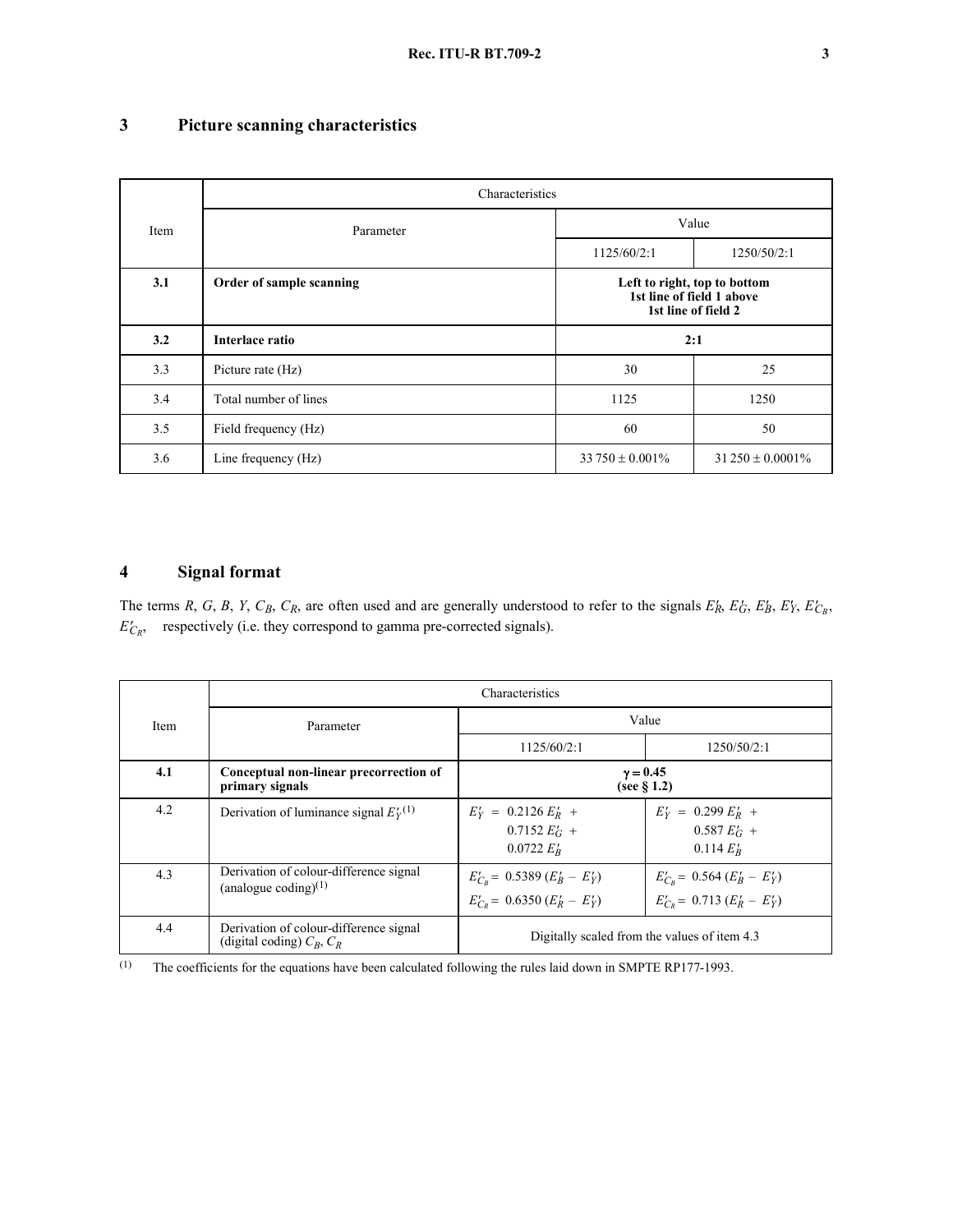|      | Characteristics          |                                                                                  |                        |
|------|--------------------------|----------------------------------------------------------------------------------|------------------------|
| Item | Parameter                | Value                                                                            |                        |
|      |                          | 1125/60/2:1                                                                      | 1250/50/2:1            |
| 3.1  | Order of sample scanning | Left to right, top to bottom<br>1st line of field 1 above<br>1st line of field 2 |                        |
| 3.2  | Interlace ratio          | 2:1                                                                              |                        |
| 3.3  | Picture rate (Hz)        | 30                                                                               | 25                     |
| 3.4  | Total number of lines    | 1125                                                                             | 1250                   |
| 3.5  | Field frequency (Hz)     | 60                                                                               | 50                     |
| 3.6  | Line frequency (Hz)      | $33750 \pm 0.001\%$                                                              | $31\,250 \pm 0.0001\%$ |

# **3 Picture scanning characteristics**

# **4 Signal format**

The terms R, G, B, Y, C<sub>B</sub>, C<sub>R</sub>, are often used and are generally understood to refer to the signals  $E'_R$ ,  $E'_G$ ,  $E'_B$ ,  $E'_Y$ ,  $E'_{C_B}$ ,  $E'_{C_R}$ , respectively (i.e. they correspond to gamma pre-corrected signals).

|      | Characteristics                                                          |                                                                                  |                                                                            |  |
|------|--------------------------------------------------------------------------|----------------------------------------------------------------------------------|----------------------------------------------------------------------------|--|
| Item | Parameter                                                                | Value                                                                            |                                                                            |  |
|      |                                                                          | 1125/60/2:1                                                                      | 1250/50/2:1                                                                |  |
| 4.1  | Conceptual non-linear precorrection of<br>primary signals                | $y = 0.45$<br>(see $\S$ 1.2)                                                     |                                                                            |  |
| 4.2  | Derivation of luminance signal $E_Y^{(1)}$                               | $E'_Y = 0.2126 E'_R +$<br>$0.7152 EG +$<br>$0.0722 E_R'$                         | $E'_Y = 0.299 E'_R +$<br>$0.587 EG +$<br>0.114 E <sub>B</sub>              |  |
| 4.3  | Derivation of colour-difference signal<br>(analogue coding) $(1)$        | $E'_{C_B}$ = 0.5389 ( $E'_B - E'_Y$ )<br>$E'_{C_p}$ = 0.6350 ( $E'_R$ – $E'_Y$ ) | $E'_{C_B}$ = 0.564 ( $E'_B$ – $E'_Y$ )<br>$E'_{C_p} = 0.713 (E'_R - E'_Y)$ |  |
| 4.4  | Derivation of colour-difference signal<br>(digital coding) $C_R$ , $C_R$ | Digitally scaled from the values of item 4.3                                     |                                                                            |  |

(1) The coefficients for the equations have been calculated following the rules laid down in SMPTE RP177-1993.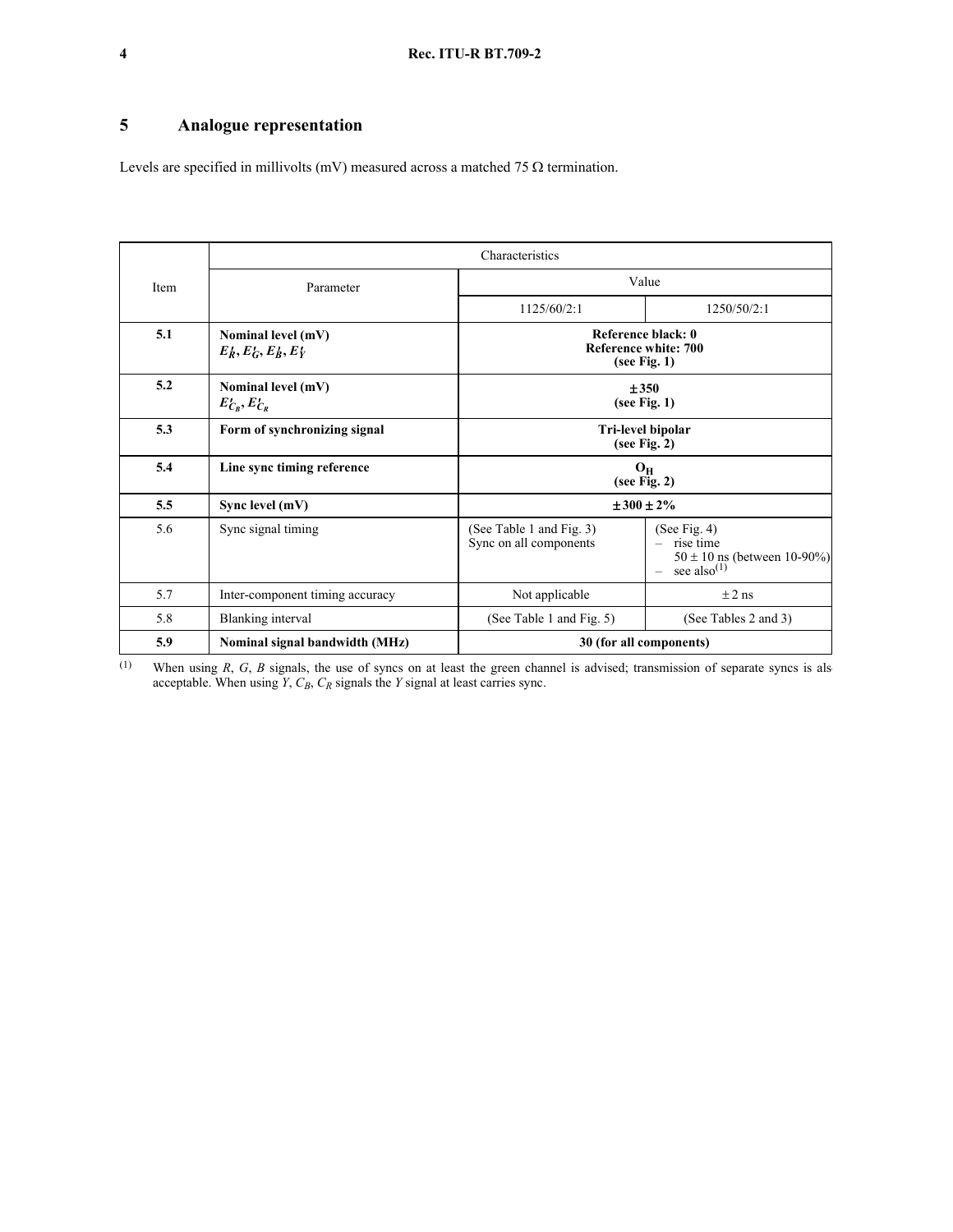# **5 Analogue representation**

Levels are specified in millivolts (mV) measured across a matched 75  $\Omega$  termination.

|      | Characteristics                                |                                                    |                                                                                                      |  |  |
|------|------------------------------------------------|----------------------------------------------------|------------------------------------------------------------------------------------------------------|--|--|
| Item | Parameter                                      |                                                    | Value                                                                                                |  |  |
|      |                                                | 1125/60/2:1                                        | 1250/50/2:1                                                                                          |  |  |
| 5.1  | Nominal level (mV)<br>$E'_R, E'_G, E'_B, E'_Y$ |                                                    | Reference black: 0<br><b>Reference white: 700</b><br>(see Fig. 1)                                    |  |  |
| 5.2  | Nominal level (mV)<br>$E'_{C_R}, E'_{C_R}$     |                                                    | ±350<br>(see Fig. $1$ )                                                                              |  |  |
| 5.3  | Form of synchronizing signal                   | Tri-level bipolar<br>(see Fig. 2)                  |                                                                                                      |  |  |
| 5.4  | Line sync timing reference                     | $O_{H}$<br>(see Fig. 2)                            |                                                                                                      |  |  |
| 5.5  | Sync level $(mV)$                              |                                                    | $\pm 300 \pm 2\%$                                                                                    |  |  |
| 5.6  | Sync signal timing                             | (See Table 1 and Fig. 3)<br>Sync on all components | (See Fig. 4)<br>rise time<br>$50 \pm 10$ ns (between 10-90%)<br>see also <sup><math>(1)</math></sup> |  |  |
| 5.7  | Inter-component timing accuracy                | Not applicable                                     | $\pm 2$ ns                                                                                           |  |  |
| 5.8  | Blanking interval                              | (See Table 1 and Fig. 5)                           | (See Tables 2 and 3)                                                                                 |  |  |
| 5.9  | Nominal signal bandwidth (MHz)                 | 30 (for all components)                            |                                                                                                      |  |  |

(1) When using  $R$ ,  $G$ ,  $B$  signals, the use of syncs on at least the green channel is advised; transmission of separate syncs is als acceptable. When using  $Y$ ,  $C_B$ ,  $C_R$  signals the  $Y$  signal at least carries sync.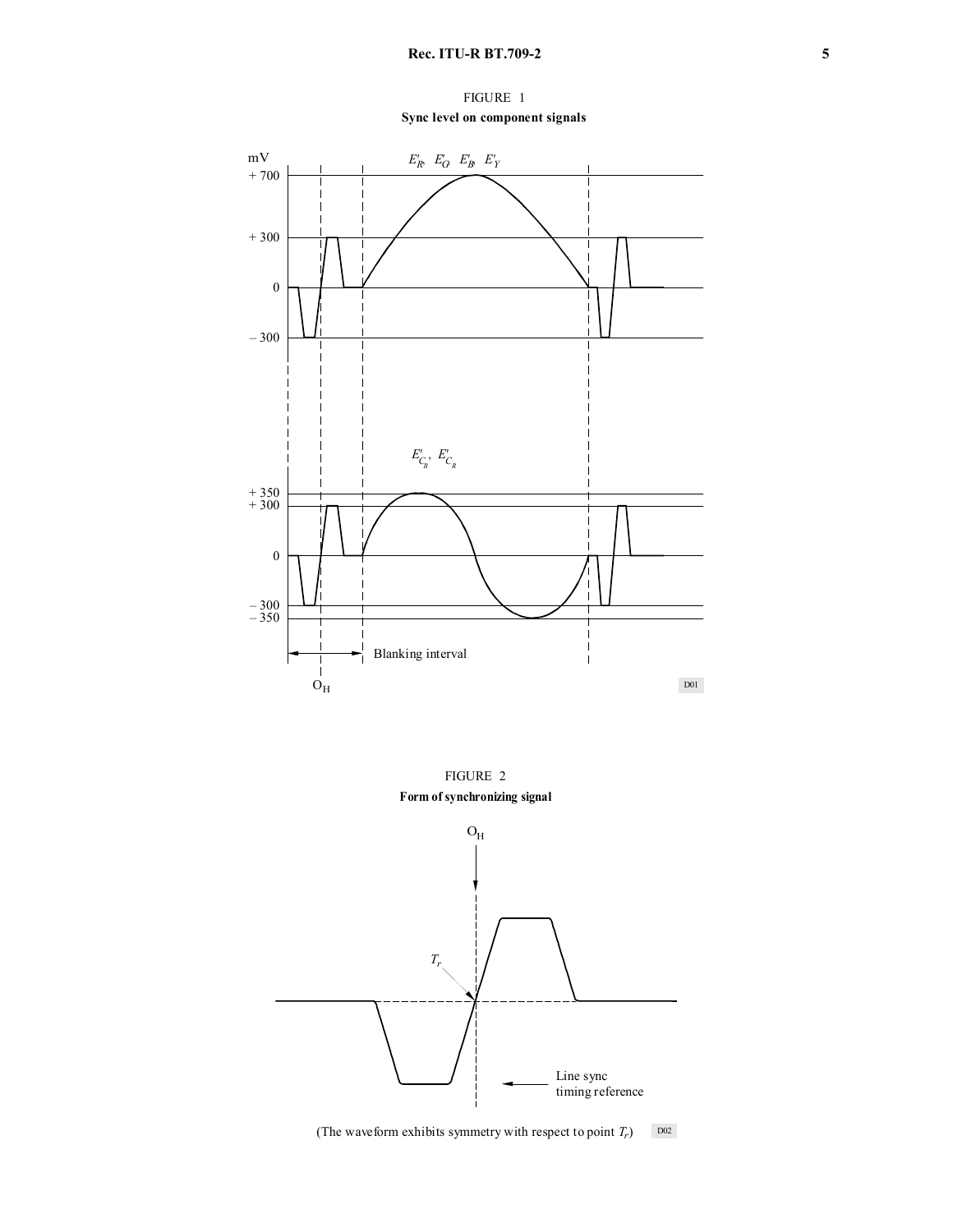







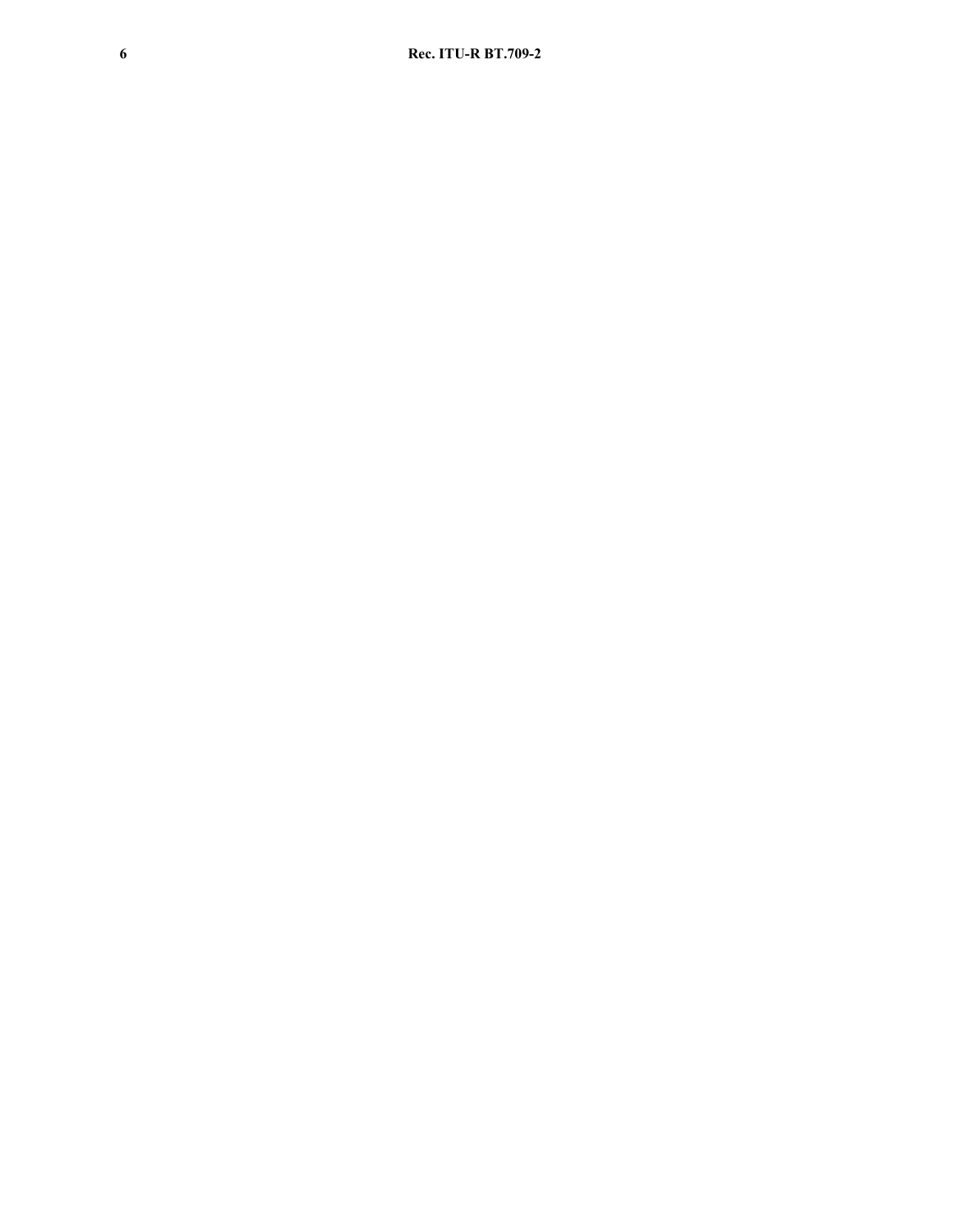**Rec. ITU-R BT.709-2**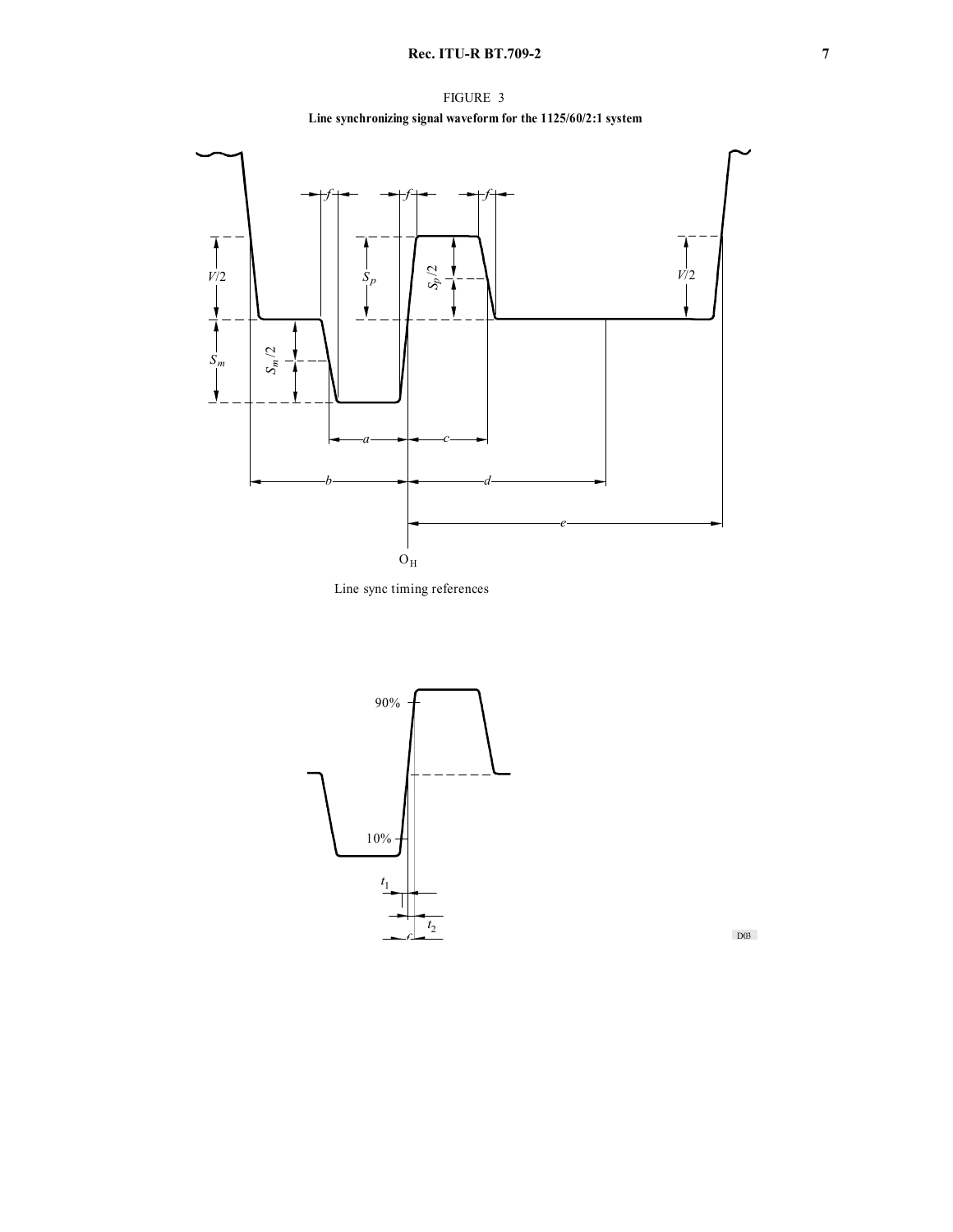

**Line synchronizing signal waveform for the 1125/60/2:1 system**



Line sync timing references

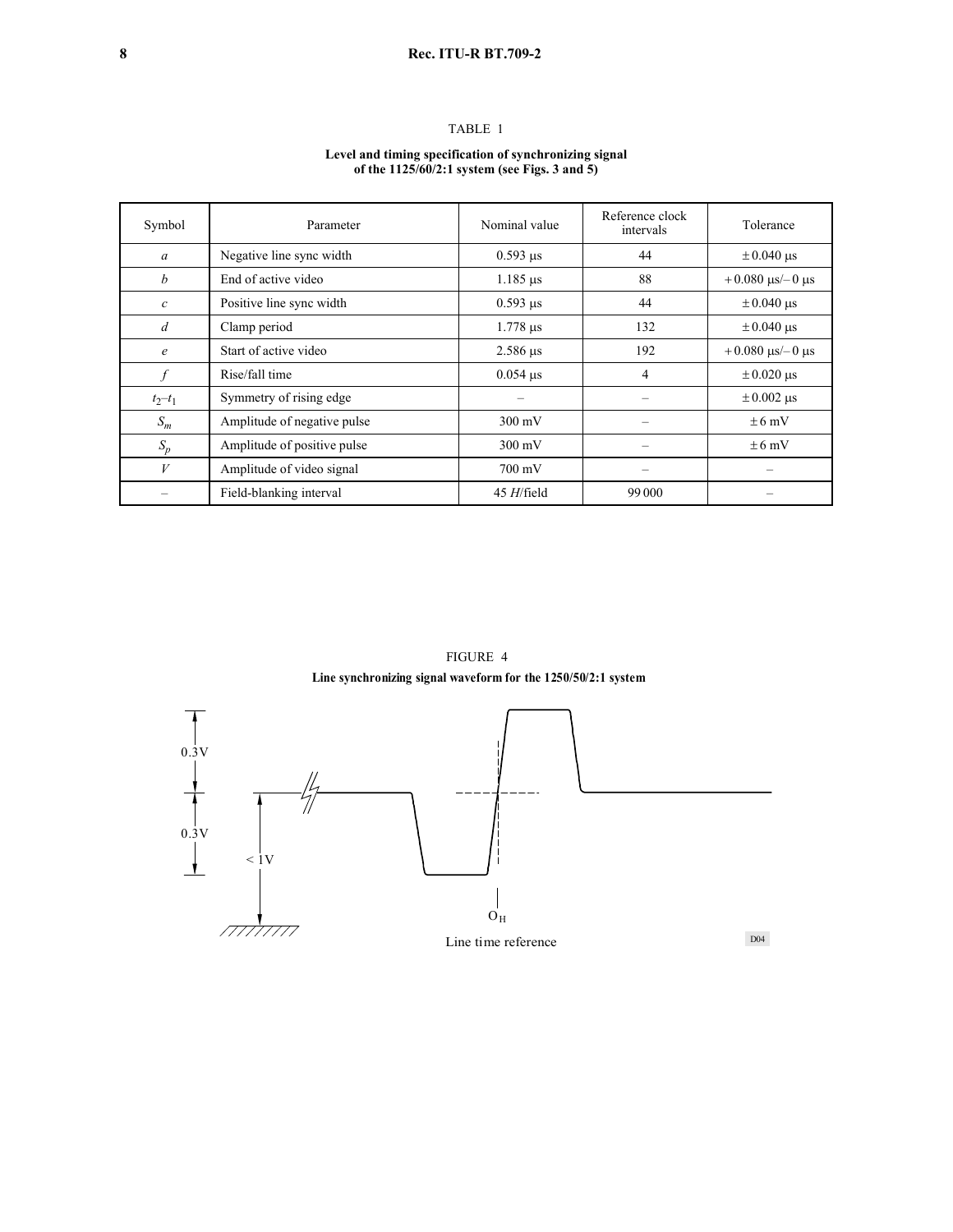## TABLE 1

#### **Level and timing specification of synchronizing signal of the 1125/60/2:1 system (see Figs. 3 and 5)**

| Symbol           | Parameter                   | Nominal value    | Reference clock<br>intervals | Tolerance                                           |
|------------------|-----------------------------|------------------|------------------------------|-----------------------------------------------------|
| $\boldsymbol{a}$ | Negative line sync width    | $0.593 \,\mu s$  | 44                           | $\pm 0.040$ µs                                      |
| b                | End of active video         | $1.185 \,\mu s$  | 88                           | $+0.080 \text{ }\mu\text{s}/-0 \text{ }\mu\text{s}$ |
| $\mathcal C$     | Positive line sync width    | $0.593 \,\mu s$  | 44                           | $\pm 0.040$ us                                      |
| $\overline{d}$   | Clamp period                | $1.778 \,\mu s$  | 132                          | $\pm 0.040$ us                                      |
| $\boldsymbol{e}$ | Start of active video       | $2.586 \,\mu s$  | 192                          | $+0.080 \text{ }\mu\text{s}/-0 \text{ }\mu\text{s}$ |
| $\boldsymbol{f}$ | Rise/fall time              | $0.054 \,\mu s$  | 4                            | $\pm 0.020$ µs                                      |
| $t_2 - t_1$      | Symmetry of rising edge     |                  |                              | $\pm 0.002$ µs                                      |
| $S_m$            | Amplitude of negative pulse | $300 \text{ mV}$ |                              | $\pm 6$ mV                                          |
| $S_p$            | Amplitude of positive pulse | $300 \text{ mV}$ |                              | $\pm 6$ mV                                          |
| V                | Amplitude of video signal   | $700 \text{ mV}$ |                              |                                                     |
|                  | Field-blanking interval     | $45$ H/field     | 99 000                       |                                                     |

FIGURE 4 **Line synchronizing signal waveform for the 1250/50/2:1 system**

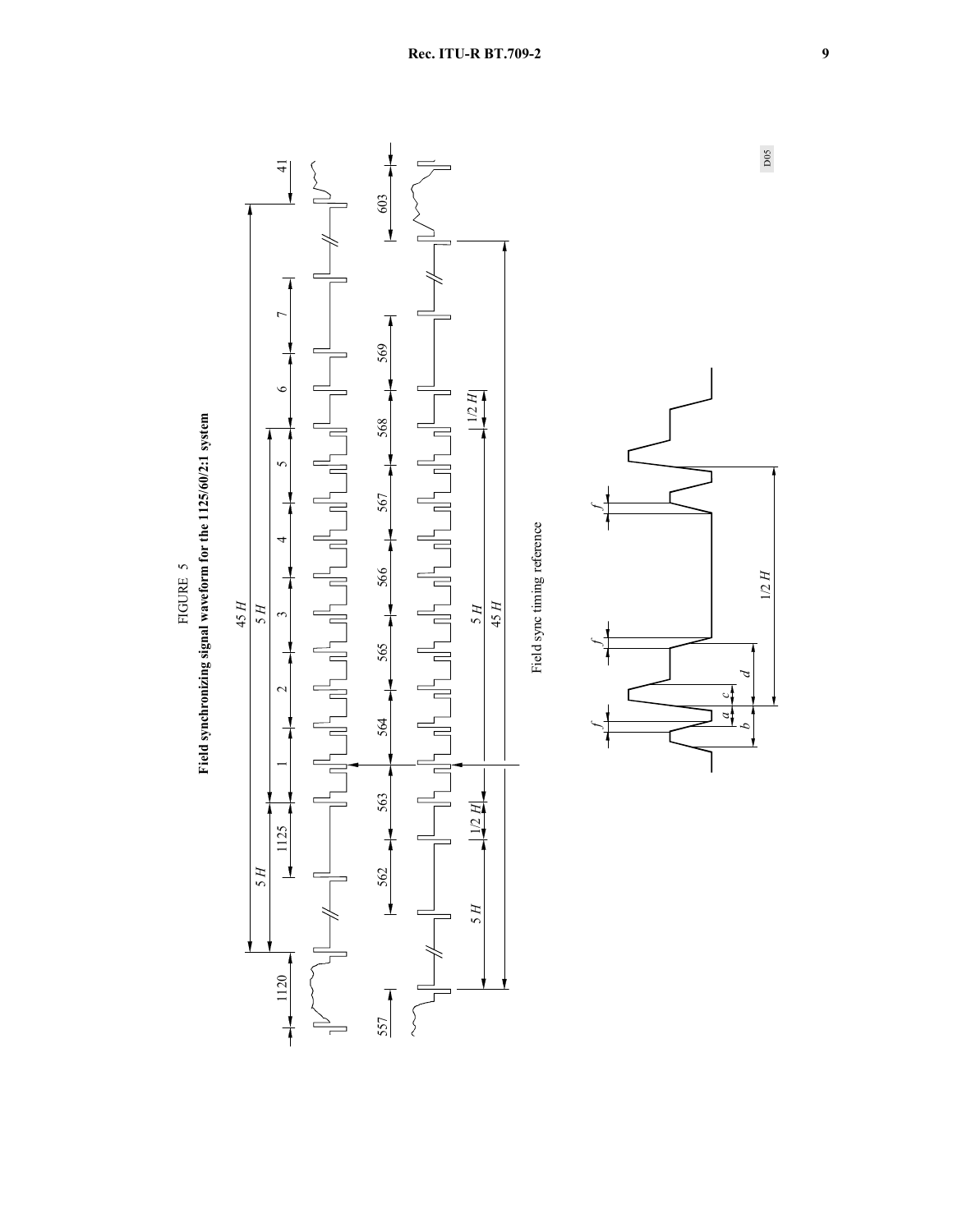

D05

*b***d** 

1/2 *H*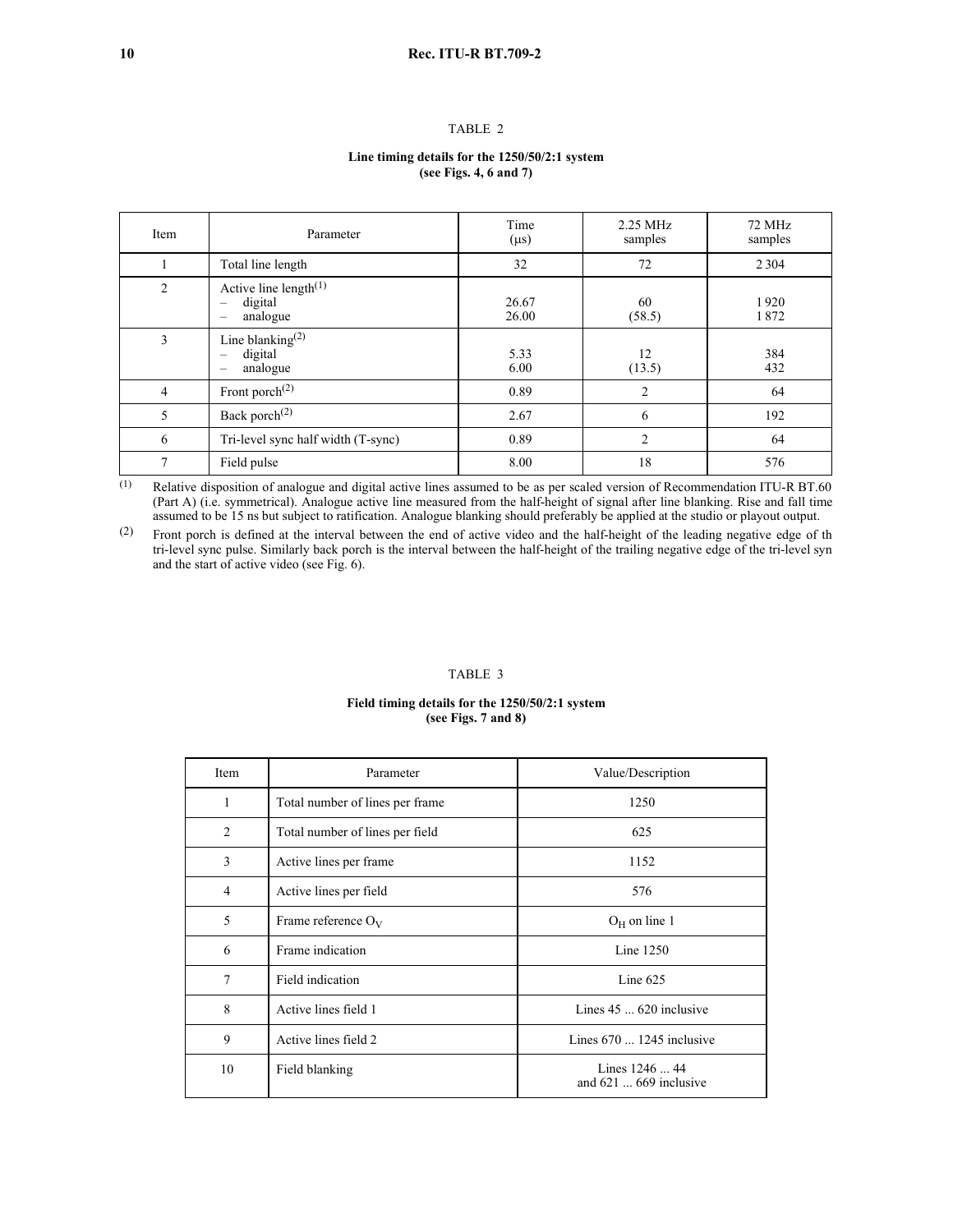### TABLE 2

#### **Line timing details for the 1250/50/2:1 system (see Figs. 4, 6 and 7)**

| Item           | Parameter                                       | Time<br>$(\mu s)$ | $2.25$ MHz<br>samples | 72 MHz<br>samples |
|----------------|-------------------------------------------------|-------------------|-----------------------|-------------------|
|                | Total line length                               | 32                | 72                    | 2304              |
| $\overline{2}$ | Active line length $(1)$<br>digital<br>analogue | 26.67<br>26.00    | 60<br>(58.5)          | 1920<br>1872      |
| 3              | Line blanking $(2)$<br>digital<br>analogue      | 5.33<br>6.00      | 12<br>(13.5)          | 384<br>432        |
| 4              | Front porch $^{(2)}$                            | 0.89              | 2                     | 64                |
| 5              | Back porch <sup>(2)</sup>                       | 2.67              | 6                     | 192               |
| 6              | Tri-level sync half width (T-sync)              | 0.89              | $\overline{2}$        | 64                |
| $\overline{7}$ | Field pulse                                     | 8.00              | 18                    | 576               |

(1) Relative disposition of analogue and digital active lines assumed to be as per scaled version of Recommendation ITU-R BT.601 (Part A) (i.e. symmetrical). Analogue active line measured from the half-height of signal after line blanking. Rise and fall time assumed to be 15 ns but subject to ratification. Analogue blanking should preferably be applied at the studio or playout output.

(2) Front porch is defined at the interval between the end of active video and the half-height of the leading negative edge of th tri-level sync pulse. Similarly back porch is the interval between the half-height of the trailing negative edge of the tri-level sync and the start of active video (see Fig. 6).

#### TABLE 3

#### **Field timing details for the 1250/50/2:1 system (see Figs. 7 and 8)**

| Item           | Parameter                       | Value/Description                               |
|----------------|---------------------------------|-------------------------------------------------|
| 1              | Total number of lines per frame | 1250                                            |
| $\overline{2}$ | Total number of lines per field | 625                                             |
| 3              | Active lines per frame          | 1152                                            |
| 4              | Active lines per field          | 576                                             |
| 5              | Frame reference $O_V$           | $O_H$ on line 1                                 |
| 6              | Frame indication                | Line $1250$                                     |
| $\tau$         | Field indication                | Line 625                                        |
| 8              | Active lines field 1            | Lines $45 \dots 620$ inclusive                  |
| 9              | Active lines field 2            | Lines $670$ 1245 inclusive                      |
| 10             | Field blanking                  | Lines 1246  44<br>and $621 \dots 669$ inclusive |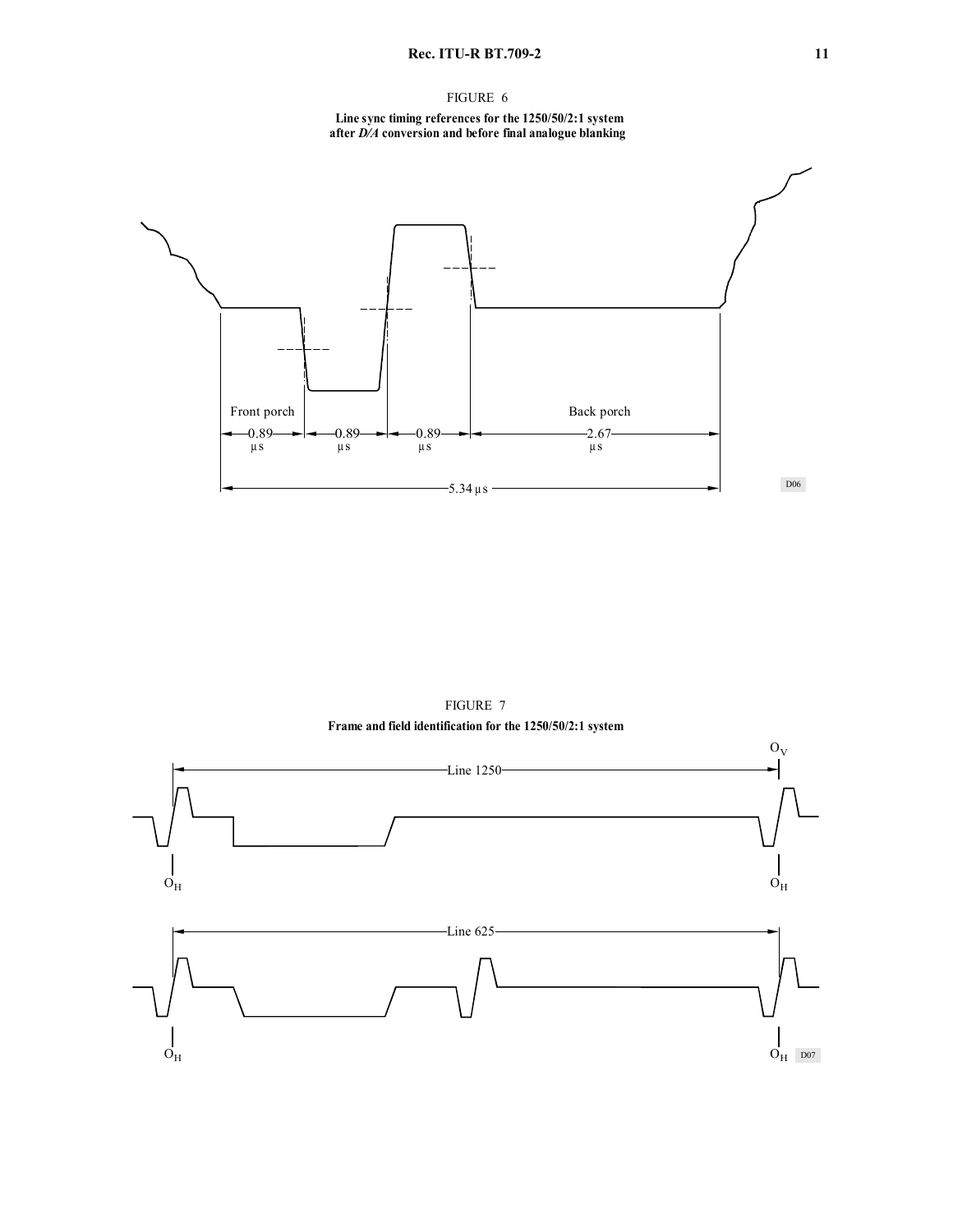### **Rec. ITU-R BT.709-2 11**

### FIGURE 6

#### **Line sync timing references for the 1250/50/2:1 system after** *D/A* **conversion and before final analogue blanking**



FIGURE 7 **Frame and field identification for the 1250/50/2:1 system**

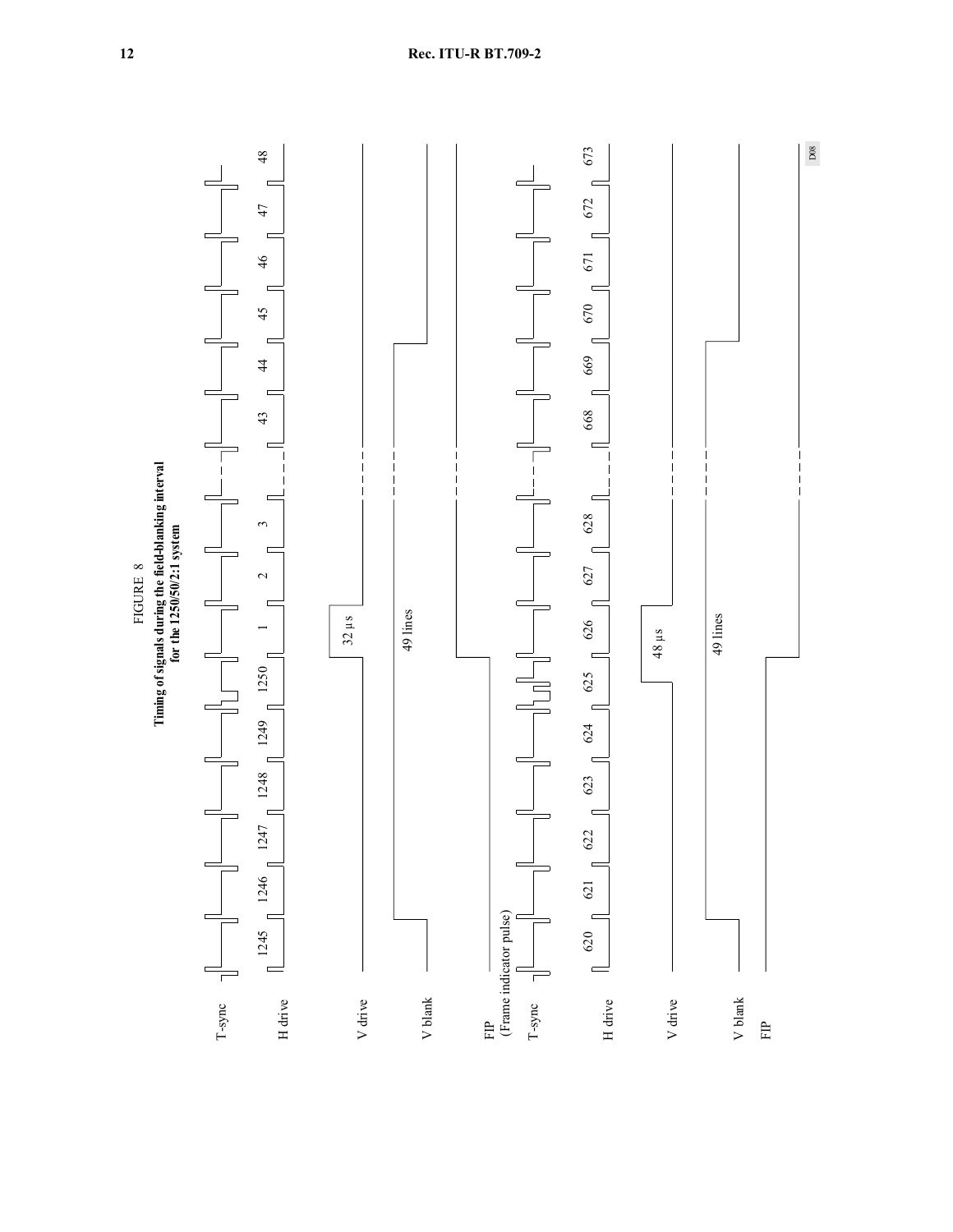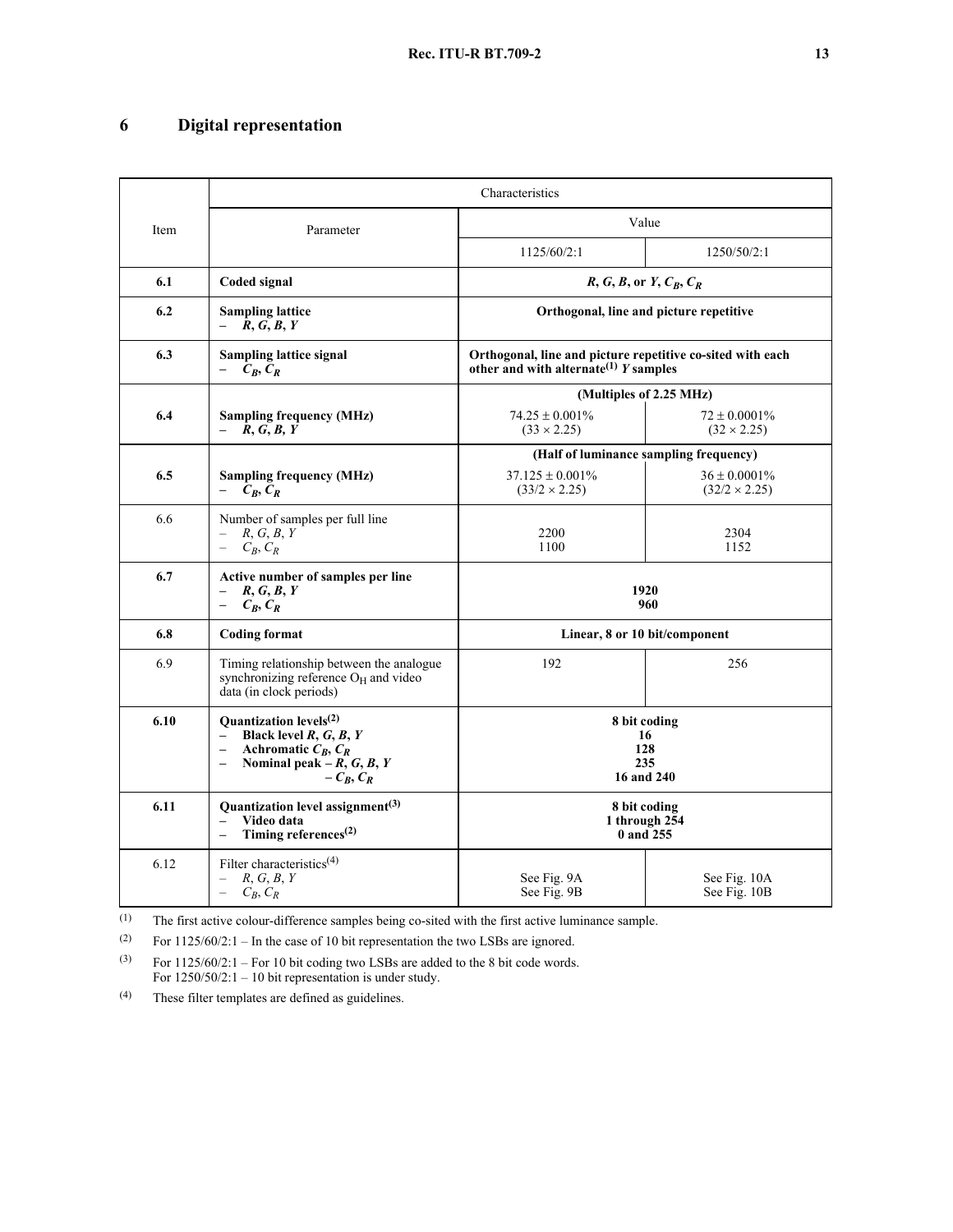# **6 Digital representation**

|      | Characteristics                                                                                                                                                                              |                                                                                                                   |                                           |
|------|----------------------------------------------------------------------------------------------------------------------------------------------------------------------------------------------|-------------------------------------------------------------------------------------------------------------------|-------------------------------------------|
| Item | Parameter                                                                                                                                                                                    | Value                                                                                                             |                                           |
|      |                                                                                                                                                                                              | 1125/60/2:1                                                                                                       | 1250/50/2:1                               |
| 6.1  | Coded signal                                                                                                                                                                                 |                                                                                                                   | R, G, B, or Y, $C_B$ , $C_R$              |
| 6.2  | <b>Sampling lattice</b><br>R, G, B, Y<br>$\equiv$                                                                                                                                            | Orthogonal, line and picture repetitive                                                                           |                                           |
| 6.3  | Sampling lattice signal<br>$C_R, C_R$                                                                                                                                                        | Orthogonal, line and picture repetitive co-sited with each<br>other and with alternate <sup>(1)</sup> $Y$ samples |                                           |
|      |                                                                                                                                                                                              |                                                                                                                   | (Multiples of 2.25 MHz)                   |
| 6.4  | <b>Sampling frequency (MHz)</b><br>R, G, B, Y<br>L.                                                                                                                                          | $74.25 \pm 0.001\%$<br>$(33 \times 2.25)$                                                                         | $72 \pm 0.0001\%$<br>$(32 \times 2.25)$   |
|      |                                                                                                                                                                                              |                                                                                                                   | (Half of luminance sampling frequency)    |
| 6.5  | <b>Sampling frequency (MHz)</b><br>$C_B, C_R$<br>$\equiv$                                                                                                                                    | $37.125 \pm 0.001\%$<br>$(33/2 \times 2.25)$                                                                      | $36 \pm 0.0001\%$<br>$(32/2 \times 2.25)$ |
| 6.6  | Number of samples per full line<br>R, G, B, Y<br>$C_R, C_R$<br>$\equiv$                                                                                                                      | 2200<br>1100                                                                                                      | 2304<br>1152                              |
| 6.7  | Active number of samples per line<br>R, G, B, Y<br>$\equiv$<br>$C_B, C_R$<br>$\qquad \qquad -$                                                                                               | 1920<br>960                                                                                                       |                                           |
| 6.8  | <b>Coding format</b>                                                                                                                                                                         |                                                                                                                   | Linear, 8 or 10 bit/component             |
| 6.9  | Timing relationship between the analogue<br>synchronizing reference $O_H$ and video<br>data (in clock periods)                                                                               | 192                                                                                                               | 256                                       |
| 6.10 | Quantization levels <sup>(2)</sup><br>Black level $R, G, B, Y$<br>$\overline{\phantom{0}}$<br>Achromatic $C_R$ , $C_R$<br>$\equiv$<br>Nominal peak $-R$ , G, B, Y<br>$\equiv$<br>$-C_B, C_R$ | 8 bit coding<br>16<br>128<br>235<br>16 and 240                                                                    |                                           |
| 6.11 | Quantization level assignment <sup>(3)</sup><br>Video data<br>$\equiv$<br>Timing references $(2)$<br>$\equiv$                                                                                | 8 bit coding<br>1 through 254<br>0 and 255                                                                        |                                           |
| 6.12 | Filter characteristics <sup>(4)</sup><br>$- R, G, B, Y$<br>$C_B, C_R$<br>$\equiv$                                                                                                            | See Fig. 9A<br>See Fig. 9B                                                                                        | See Fig. 10A<br>See Fig. 10B              |

(1) The first active colour-difference samples being co-sited with the first active luminance sample.

(2) For  $1125/60/2:1$  – In the case of 10 bit representation the two LSBs are ignored.

 $^{(3)}$  For 1125/60/2:1 – For 10 bit coding two LSBs are added to the 8 bit code words. For  $1250/50/2:1 - 10$  bit representation is under study.

(4) These filter templates are defined as guidelines.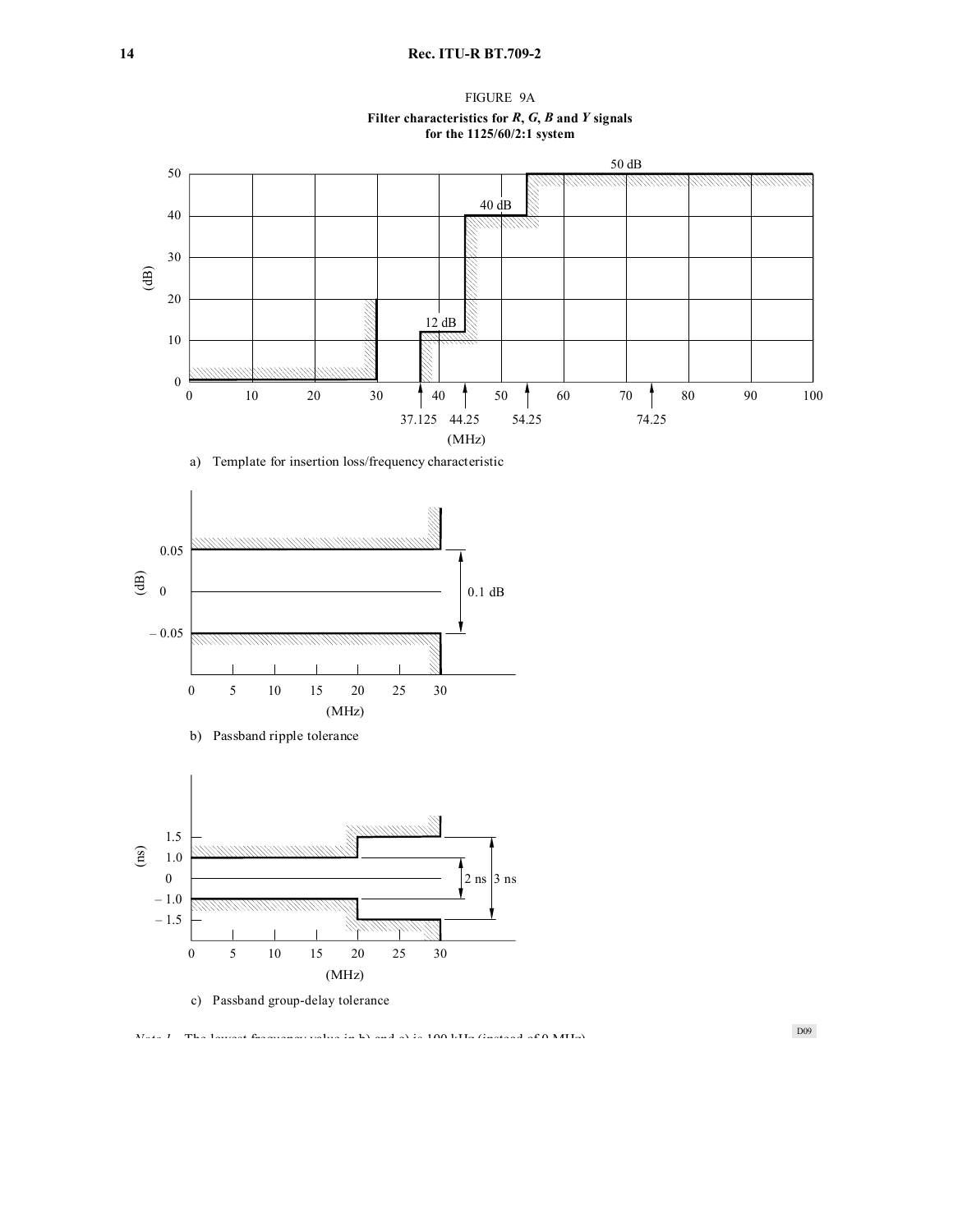



a) Template for insertion loss/frequency characteristic



c) Passband group-delay tolerance

*Note 1* – The lowest frequency value in b) and c) is 100 kHz (instead of 0 MHz).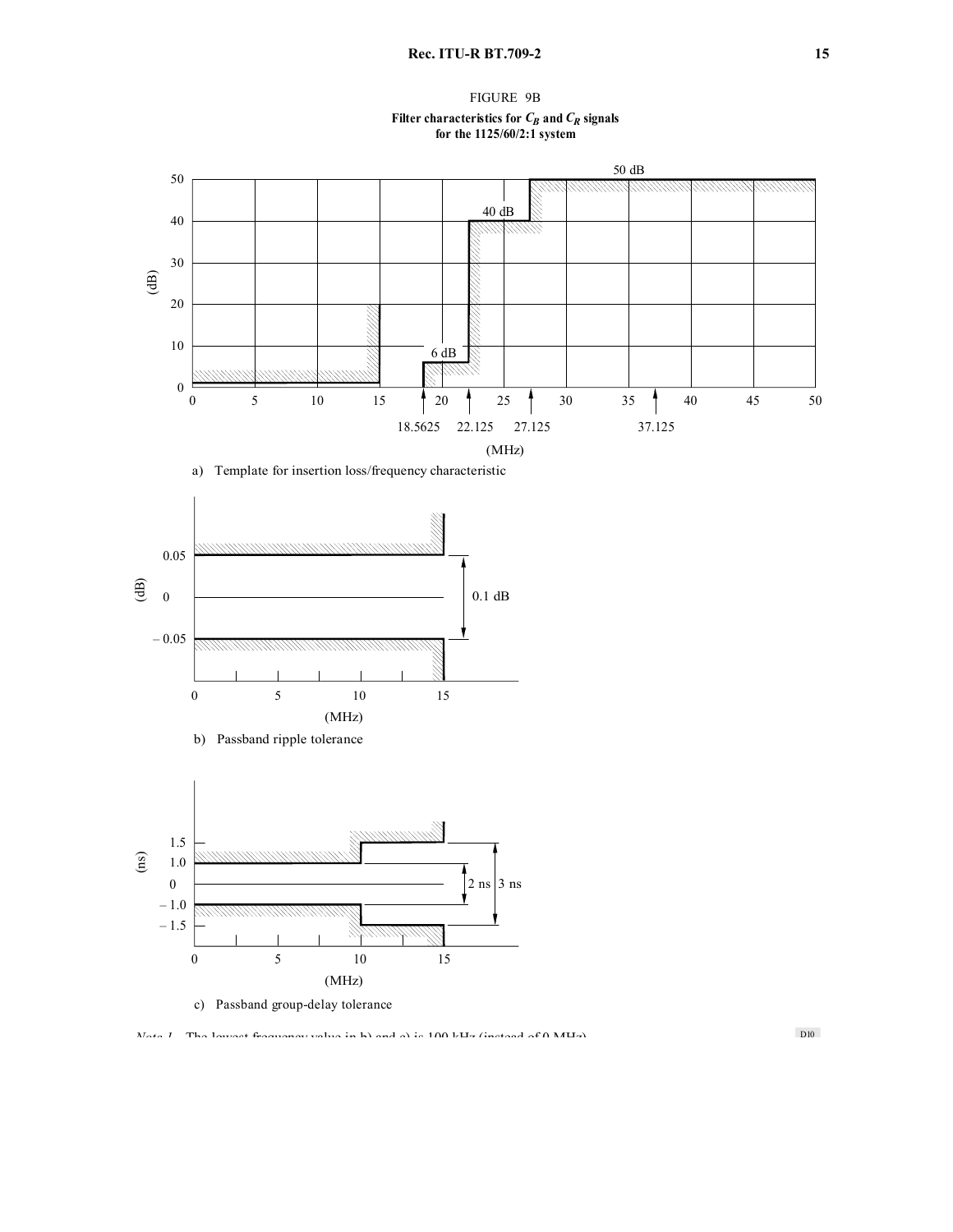# FIGURE 9B

**Filter** characteristics for  $C_R$  and  $C_R$  signals aracteristics for  $C_B$  and  $C_R$ <br>for the 1125/60/2:1 system



0.1 dB



0

 $-0.05$ 

*111111111111111* 

c) Passband group-delay tolerance

*Note 1* – The lowest frequency value in b) and c) is 100 kHz (instead of 0 MHz).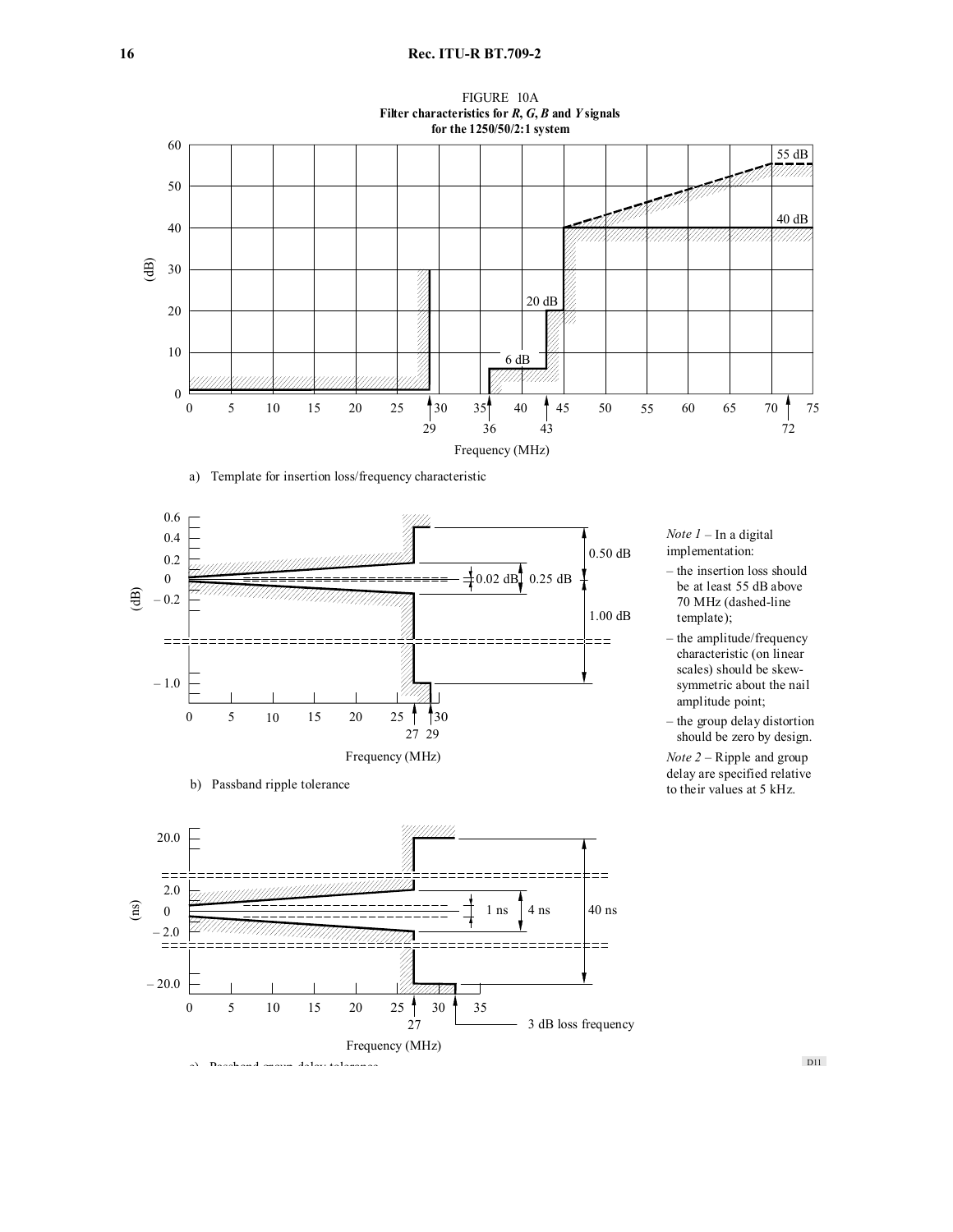

a) Template for insertion loss/frequency characteristic



b) Passband ripple tolerance



*Note 1* – In a digital implementation:

- the insertion loss should be at least 55 dB above 70 MHz (dashed-line template);
- the amplitude/frequency – characteristic (on linear scales) should be skewsymmetric about the nail amplitude point;
- the group delay distortion should be zero by design.

*Note 2* – Ripple and group delay are specified relative to their values at 5 kHz.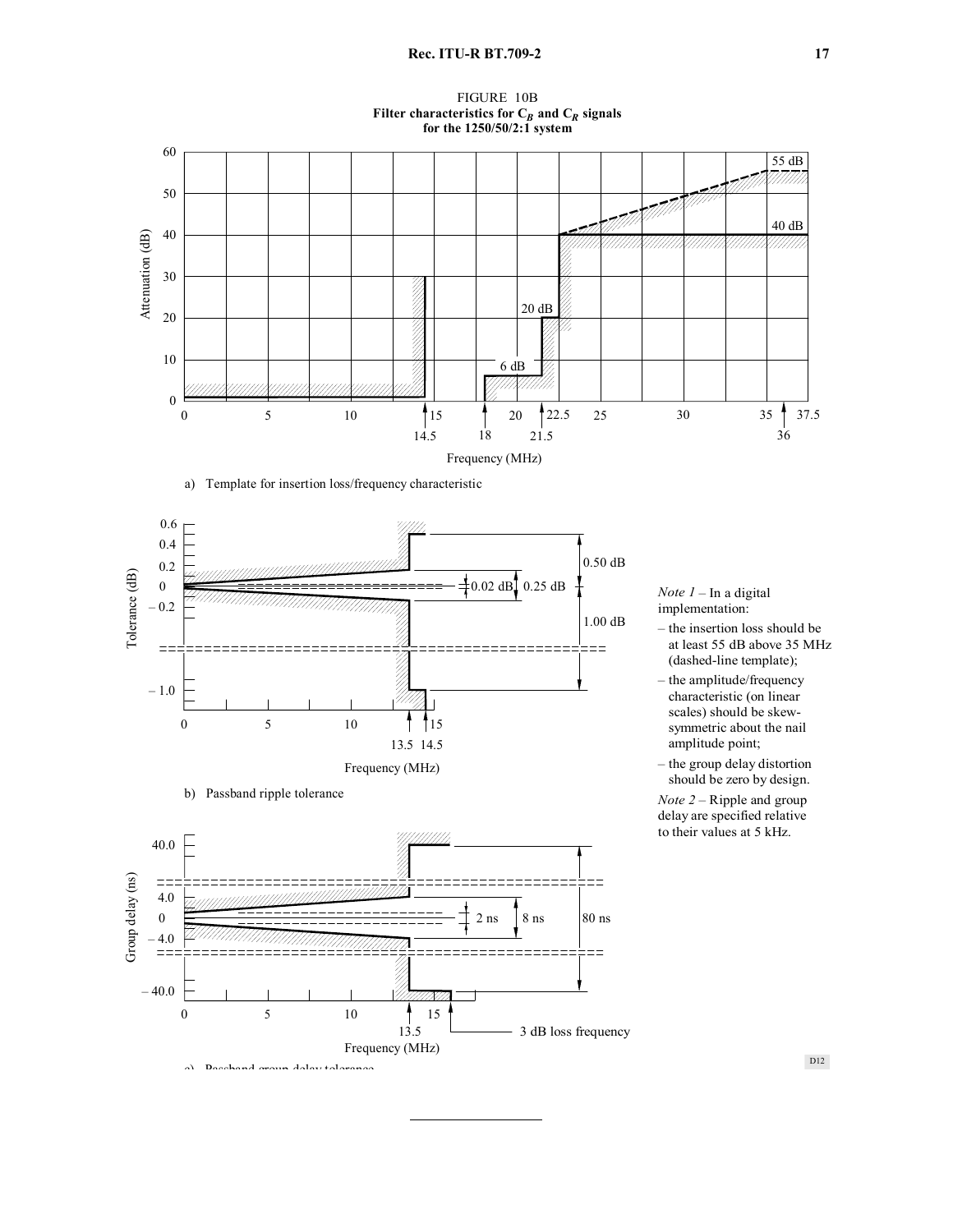FIGURE 10B **Filter characteristics** for  $C_R$  **and**  $C_R$  **signals** For the 1250/50/2:1 system



a) Template for insertion loss/frequency characteristic



b) Passband ripple tolerance



*Note 1* – In a digital implementation:

- the insertion loss should be – at least 55 dB above 35 MHz (dashed-line template);
- the amplitude/frequency – characteristic (on linear scales) should be skewsymmetric about the nail – amplitude point;
- the group delay distortion should be zero by design.

*Note 2* – Ripple and group delay are specified relative to their values at 5 kHz.